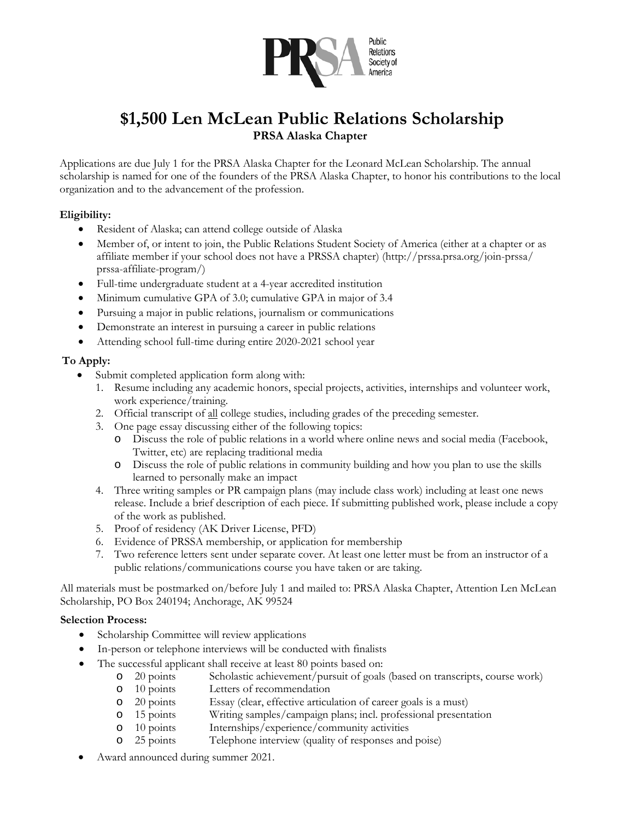

# **\$1,500 Len McLean Public Relations Scholarship PRSA Alaska Chapter**

Applications are due July 1 for the PRSA Alaska Chapter for the Leonard McLean Scholarship. The annual scholarship is named for one of the founders of the PRSA Alaska Chapter, to honor his contributions to the local organization and to the advancement of the profession.

#### **Eligibility:**

- Resident of Alaska; can attend college outside of Alaska
- Member of, or intent to join, the Public Relations Student Society of America (either at a chapter or as affiliate member if your school does not have a PRSSA chapter) (http://prssa.prsa.org/join-prssa/ prssa-affiliate-program/)
- Full-time undergraduate student at a 4-year accredited institution
- Minimum cumulative GPA of 3.0; cumulative GPA in major of 3.4
- Pursuing a major in public relations, journalism or communications
- Demonstrate an interest in pursuing a career in public relations
- Attending school full-time during entire 2020-2021 school year

#### **To Apply:**

- Submit completed application form along with:
	- 1. Resume including any academic honors, special projects, activities, internships and volunteer work, work experience/training.
	- 2. Official transcript of all college studies, including grades of the preceding semester.
	- 3. One page essay discussing either of the following topics:
		- o Discuss the role of public relations in a world where online news and social media (Facebook, Twitter, etc) are replacing traditional media
		- o Discuss the role of public relations in community building and how you plan to use the skills learned to personally make an impact
	- 4. Three writing samples or PR campaign plans (may include class work) including at least one news release. Include a brief description of each piece. If submitting published work, please include a copy of the work as published.
	- 5. Proof of residency (AK Driver License, PFD)
	- 6. Evidence of PRSSA membership, or application for membership
	- 7. Two reference letters sent under separate cover. At least one letter must be from an instructor of a public relations/communications course you have taken or are taking.

All materials must be postmarked on/before July 1 and mailed to: PRSA Alaska Chapter, Attention Len McLean Scholarship, PO Box 240194; Anchorage, AK 99524

#### **Selection Process:**

- Scholarship Committee will review applications
- In-person or telephone interviews will be conducted with finalists
- The successful applicant shall receive at least 80 points based on:
	- o 20 points Scholastic achievement/pursuit of goals (based on transcripts, course work)
	-
	- 10 points Letters of recommendation<br>20 points Essay (clear, effective articu
	- o 20 points Essay (clear, effective articulation of career goals is a must) 15 points Writing samples/campaign plans; incl. professional presentation 10 points Internships/experience/community activities
	- o 10 points Internships/experience/community activities
	- o 25 points Telephone interview (quality of responses and poise)
- Award announced during summer 2021.